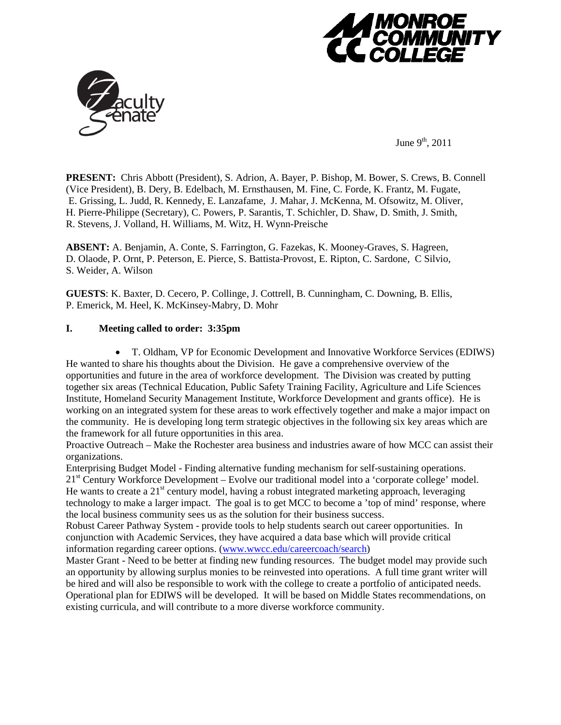



June  $9^{th}$ , 2011

**PRESENT:** Chris Abbott (President), S. Adrion, A. Bayer, P. Bishop, M. Bower, S. Crews, B. Connell (Vice President), B. Dery, B. Edelbach, M. Ernsthausen, M. Fine, C. Forde, K. Frantz, M. Fugate, E. Grissing, L. Judd, R. Kennedy, E. Lanzafame, J. Mahar, J. McKenna, M. Ofsowitz, M. Oliver, H. Pierre-Philippe (Secretary), C. Powers, P. Sarantis, T. Schichler, D. Shaw, D. Smith, J. Smith, R. Stevens, J. Volland, H. Williams, M. Witz, H. Wynn-Preische

**ABSENT:** A. Benjamin, A. Conte, S. Farrington, G. Fazekas, K. Mooney-Graves, S. Hagreen, D. Olaode, P. Ornt, P. Peterson, E. Pierce, S. Battista-Provost, E. Ripton, C. Sardone, C Silvio, S. Weider, A. Wilson

**GUESTS**: K. Baxter, D. Cecero, P. Collinge, J. Cottrell, B. Cunningham, C. Downing, B. Ellis, P. Emerick, M. Heel, K. McKinsey-Mabry, D. Mohr

# **I. Meeting called to order: 3:35pm**

• T. Oldham, VP for Economic Development and Innovative Workforce Services (EDIWS) He wanted to share his thoughts about the Division. He gave a comprehensive overview of the opportunities and future in the area of workforce development. The Division was created by putting together six areas (Technical Education, Public Safety Training Facility, Agriculture and Life Sciences Institute, Homeland Security Management Institute, Workforce Development and grants office). He is working on an integrated system for these areas to work effectively together and make a major impact on the community. He is developing long term strategic objectives in the following six key areas which are the framework for all future opportunities in this area.

Proactive Outreach – Make the Rochester area business and industries aware of how MCC can assist their organizations.

Enterprising Budget Model - Finding alternative funding mechanism for self-sustaining operations. 21<sup>st</sup> Century Workforce Development – Evolve our traditional model into a 'corporate college' model. He wants to create a  $21<sup>st</sup>$  century model, having a robust integrated marketing approach, leveraging technology to make a larger impact. The goal is to get MCC to become a 'top of mind' response, where the local business community sees us as the solution for their business success.

Robust Career Pathway System - provide tools to help students search out career opportunities. In conjunction with Academic Services, they have acquired a data base which will provide critical information regarding career options. [\(www.wwcc.edu/careercoach/search\)](http://www.wwcc.edu/careercoach/search)

Master Grant - Need to be better at finding new funding resources. The budget model may provide such an opportunity by allowing surplus monies to be reinvested into operations. A full time grant writer will be hired and will also be responsible to work with the college to create a portfolio of anticipated needs. Operational plan for EDIWS will be developed. It will be based on Middle States recommendations, on existing curricula, and will contribute to a more diverse workforce community.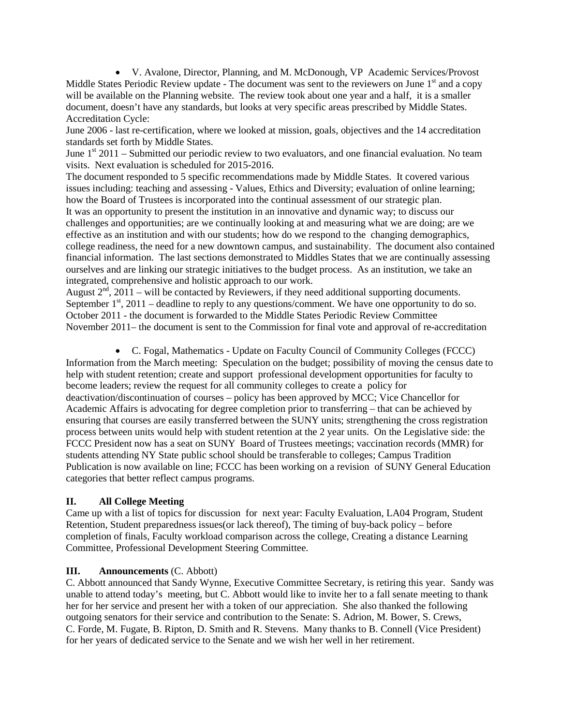• V. Avalone, Director, Planning, and M. McDonough, VP Academic Services/Provost Middle States Periodic Review update - The document was sent to the reviewers on June 1<sup>st</sup> and a copy will be available on the Planning website. The review took about one year and a half, it is a smaller document, doesn't have any standards, but looks at very specific areas prescribed by Middle States. Accreditation Cycle:

June 2006 - last re-certification, where we looked at mission, goals, objectives and the 14 accreditation standards set forth by Middle States.

June  $1<sup>st</sup>$  2011 – Submitted our periodic review to two evaluators, and one financial evaluation. No team visits. Next evaluation is scheduled for 2015-2016.

The document responded to 5 specific recommendations made by Middle States. It covered various issues including: teaching and assessing - Values, Ethics and Diversity; evaluation of online learning; how the Board of Trustees is incorporated into the continual assessment of our strategic plan. It was an opportunity to present the institution in an innovative and dynamic way; to discuss our challenges and opportunities; are we continually looking at and measuring what we are doing; are we effective as an institution and with our students; how do we respond to the changing demographics, college readiness, the need for a new downtown campus, and sustainability. The document also contained financial information. The last sections demonstrated to Middles States that we are continually assessing ourselves and are linking our strategic initiatives to the budget process. As an institution, we take an integrated, comprehensive and holistic approach to our work.

August  $2<sup>nd</sup>$ ,  $2011$  – will be contacted by Reviewers, if they need additional supporting documents. September  $1<sup>st</sup>$ , 2011 – deadline to reply to any questions/comment. We have one opportunity to do so. October 2011 - the document is forwarded to the Middle States Periodic Review Committee November 2011– the document is sent to the Commission for final vote and approval of re-accreditation

• C. Fogal, Mathematics - Update on Faculty Council of Community Colleges (FCCC) Information from the March meeting: Speculation on the budget; possibility of moving the census date to help with student retention; create and support professional development opportunities for faculty to become leaders; review the request for all community colleges to create a policy for deactivation/discontinuation of courses – policy has been approved by MCC; Vice Chancellor for Academic Affairs is advocating for degree completion prior to transferring – that can be achieved by ensuring that courses are easily transferred between the SUNY units; strengthening the cross registration process between units would help with student retention at the 2 year units. On the Legislative side: the FCCC President now has a seat on SUNY Board of Trustees meetings; vaccination records (MMR) for students attending NY State public school should be transferable to colleges; Campus Tradition Publication is now available on line; FCCC has been working on a revision of SUNY General Education categories that better reflect campus programs.

## **II. All College Meeting**

Came up with a list of topics for discussion for next year: Faculty Evaluation, LA04 Program, Student Retention, Student preparedness issues(or lack thereof), The timing of buy-back policy – before completion of finals, Faculty workload comparison across the college, Creating a distance Learning Committee, Professional Development Steering Committee.

## **III. Announcements** (C. Abbott)

C. Abbott announced that Sandy Wynne, Executive Committee Secretary, is retiring this year. Sandy was unable to attend today's meeting, but C. Abbott would like to invite her to a fall senate meeting to thank her for her service and present her with a token of our appreciation. She also thanked the following outgoing senators for their service and contribution to the Senate: S. Adrion, M. Bower, S. Crews, C. Forde, M. Fugate, B. Ripton, D. Smith and R. Stevens. Many thanks to B. Connell (Vice President) for her years of dedicated service to the Senate and we wish her well in her retirement.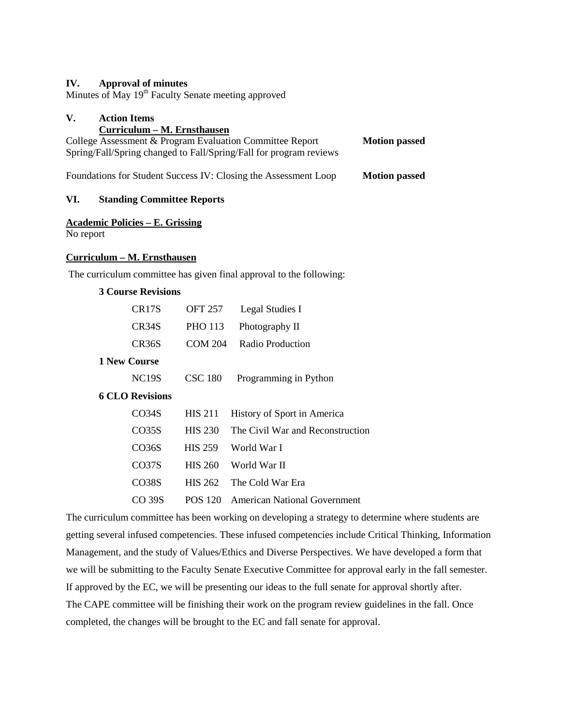## **IV. Approval of minutes**

Minutes of May 19<sup>th</sup> Faculty Senate meeting approved

# **V. Action Items**

# **Curriculum – M. Ernsthausen** College Assessment & Program Evaluation Committee Report **Motion passed** Spring/Fall/Spring changed to Fall/Spring/Fall for program reviews Foundations for Student Success IV: Closing the Assessment Loop **Motion passed**

## **VI. Standing Committee Reports**

## **Academic Policies – E. Grissing**

No report

#### **Curriculum – M. Ernsthausen**

The curriculum committee has given final approval to the following:

## **3 Course Revisions**

|                     | CR17S        | <b>OFT 257</b> | Legal Studies I                  |  |
|---------------------|--------------|----------------|----------------------------------|--|
|                     | CR34S        | <b>PHO 113</b> | Photography II                   |  |
|                     | CR36S        | <b>COM 204</b> | Radio Production                 |  |
| <b>1 New Course</b> |              |                |                                  |  |
|                     | <b>NC19S</b> | <b>CSC 180</b> | Programming in Python            |  |
| 6 CLO Revisions     |              |                |                                  |  |
|                     | CO34S        | <b>HIS 211</b> | History of Sport in America      |  |
|                     | CO35S        | <b>HIS 230</b> | The Civil War and Reconstruction |  |
|                     | CO36S        | <b>HIS 259</b> | World War I                      |  |
|                     | CO37S        | <b>HIS 260</b> | World War II                     |  |
|                     | CO38S        | <b>HIS 262</b> | The Cold War Era                 |  |
|                     | CO 39S       | POS 120        | American National Government     |  |

The curriculum committee has been working on developing a strategy to determine where students are getting several infused competencies. These infused competencies include Critical Thinking, Information Management, and the study of Values/Ethics and Diverse Perspectives. We have developed a form that we will be submitting to the Faculty Senate Executive Committee for approval early in the fall semester. If approved by the EC, we will be presenting our ideas to the full senate for approval shortly after. The CAPE committee will be finishing their work on the program review guidelines in the fall. Once completed, the changes will be brought to the EC and fall senate for approval.